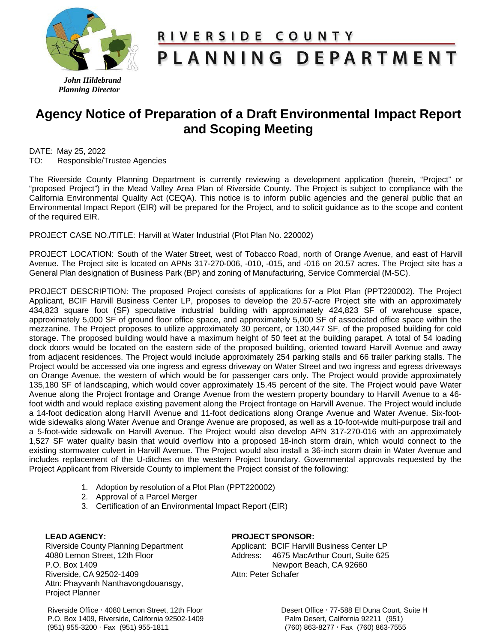

# RIVERSIDE COUNTY

# PLANNING DEPARTMENT

 *John Hildebrand Planning Director*

# **Agency Notice of Preparation of a Draft Environmental Impact Report and Scoping Meeting**

DATE: May 25, 2022 TO: Responsible/Trustee Agencies

The Riverside County Planning Department is currently reviewing a development application (herein, "Project" or "proposed Project") in the Mead Valley Area Plan of Riverside County. The Project is subject to compliance with the California Environmental Quality Act (CEQA). This notice is to inform public agencies and the general public that an Environmental Impact Report (EIR) will be prepared for the Project, and to solicit guidance as to the scope and content of the required EIR.

PROJECT CASE NO./TITLE: Harvill at Water Industrial (Plot Plan No. 220002)

PROJECT LOCATION: South of the Water Street, west of Tobacco Road, north of Orange Avenue, and east of Harvill Avenue. The Project site is located on APNs 317-270-006, -010, -015, and -016 on 20.57 acres. The Project site has a General Plan designation of Business Park (BP) and zoning of Manufacturing, Service Commercial (M-SC).

PROJECT DESCRIPTION: The proposed Project consists of applications for a Plot Plan (PPT220002). The Project Applicant, BCIF Harvill Business Center LP, proposes to develop the 20.57-acre Project site with an approximately 434,823 square foot (SF) speculative industrial building with approximately 424,823 SF of warehouse space, approximately 5,000 SF of ground floor office space, and approximately 5,000 SF of associated office space within the mezzanine. The Project proposes to utilize approximately 30 percent, or 130,447 SF, of the proposed building for cold storage. The proposed building would have a maximum height of 50 feet at the building parapet. A total of 54 loading dock doors would be located on the eastern side of the proposed building, oriented toward Harvill Avenue and away from adjacent residences. The Project would include approximately 254 parking stalls and 66 trailer parking stalls. The Project would be accessed via one ingress and egress driveway on Water Street and two ingress and egress driveways on Orange Avenue, the western of which would be for passenger cars only. The Project would provide approximately 135,180 SF of landscaping, which would cover approximately 15.45 percent of the site. The Project would pave Water Avenue along the Project frontage and Orange Avenue from the western property boundary to Harvill Avenue to a 46 foot width and would replace existing pavement along the Project frontage on Harvill Avenue. The Project would include a 14-foot dedication along Harvill Avenue and 11-foot dedications along Orange Avenue and Water Avenue. Six-footwide sidewalks along Water Avenue and Orange Avenue are proposed, as well as a 10-foot-wide multi-purpose trail and a 5-foot-wide sidewalk on Harvill Avenue. The Project would also develop APN 317-270-016 with an approximately 1,527 SF water quality basin that would overflow into a proposed 18-inch storm drain, which would connect to the existing stormwater culvert in Harvill Avenue. The Project would also install a 36-inch storm drain in Water Avenue and includes replacement of the U-ditches on the western Project boundary. Governmental approvals requested by the Project Applicant from Riverside County to implement the Project consist of the following:

- 1. Adoption by resolution of a Plot Plan (PPT220002)
- 2. Approval of a Parcel Merger
- 3. Certification of an Environmental Impact Report (EIR)

## **LEAD AGENCY:**

Riverside County Planning Department 4080 Lemon Street, 12th Floor P.O. Box 1409 Riverside, CA 92502-1409 Attn: Phayvanh Nanthavongdouansgy, Project Planner

## **PROJECT SPONSOR:**

Applicant: BCIF Harvill Business Center LP Address: 4675 MacArthur Court, Suite 625 Newport Beach, CA 92660 Attn: Peter Schafer

Riverside Office · 4080 Lemon Street, 12th Floor Desert Office · 77-588 El Duna Court, Suite H<br>P.O. Box 1409, Riverside, California 92502-1409 Desert Dalm Desert, California 92211 (951) P.O. Box 1409, Riverside, California 92502-1409 Palm Desert, California 92211 (951)<br>(951) 955-3200 · Fax (951) 955-1811 Palm Cass (760) 863-8277 · Fax (760) 863-7555  $(951)$  955-3200  $\cdot$  Fax  $(951)$  955-1811